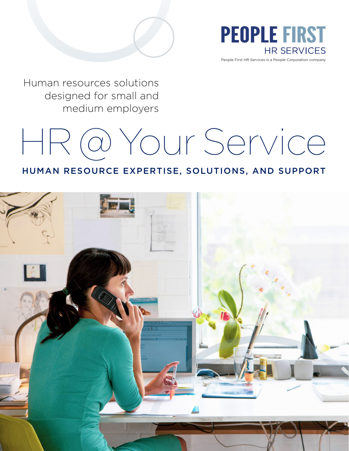

People First HR Services is a People Corporation company

Human resources solutions designed for small and medium employers

# HR @ Your Service

## HUMAN RESOURCE EXPERTISE, SOLUTIONS, AND SUPPORT